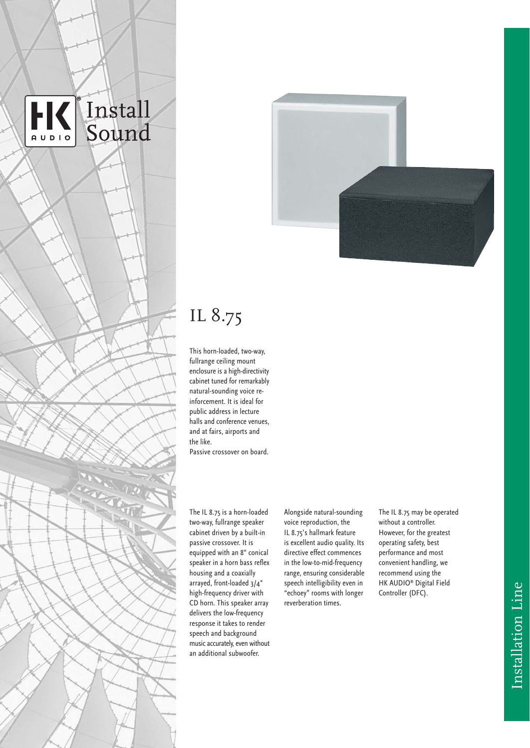



# IL 8.75

This horn-loaded, two-way, fullrange ceiling mount enclosure is a high-directivity cabinet tuned for remarkably natural-sounding voice reinforcement. It is ideal for public address in lecture halls and conference venues, and at fairs, airports and the like. Passive crossover on board.

The IL 8.75 is a horn-loaded two-way, fullrange speaker cabinet driven by a built-in passive crossover. It is equipped with an 8" conical speaker in a horn bass reflex housing and a coaxially arrayed, front-loaded 3/4" high-frequency driver with CD horn. This speaker array delivers the low-frequency response it takes to render speech and background music accurately, even without an additional subwoofer.

Alongside natural-sounding voice reproduction, the IL 8.75's hallmark feature is excellent audio quality. Its directive effect commences in the low-to-mid-frequency range, ensuring considerable speech intelligibility even in "echoey" rooms with longer reverberation times.

The IL 8.75 may be operated without a controller. However, for the greatest operating safety, best performance and most convenient handling, we recommend using the HK AUDIO® Digital Field Controller (DFC).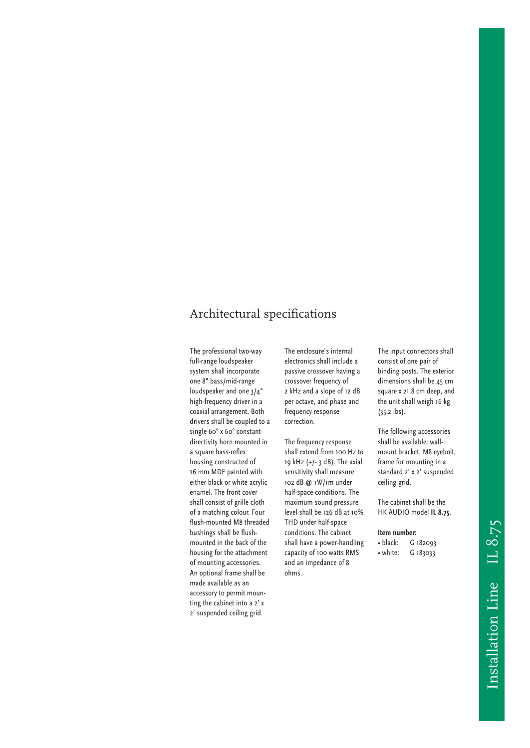## Architectural specifications

The professional two-way full-range loudspeaker system shall incorporate one 8" bass/mid-range loudspeaker and one 3/4" high-frequency driver in a coaxial arrangement. Both drivers shall be coupled to a single 60° x 60° constantdirectivity horn mounted in a square bass-reflex housing constructed of 16 mm MDF painted with either black or white acrylic enamel. The front cover shall consist of grille cloth of a matching colour. Four flush-mounted M8 threaded bushings shall be flushmounted in the back of the housing for the attachment of mounting accessories. An optional frame shall be made available as an accessory to permit mounting the cabinet into a 2' x 2' suspended ceiling grid.

The enclosure's internal electronics shall include a passive crossover having a crossover frequency of 2 kHz and a slope of 12 dB per octave, and phase and frequency response correction.

The frequency response shall extend from 100 Hz to 19 kHz (+/- 3 dB). The axial sensitivity shall measure 102 dB @ 1W/1m under half-space conditions. The maximum sound pressure level shall be 126 dB at 10% THD under half-space conditions. The cabinet shall have a power-handling capacity of 100 watts RMS and an impedance of 8 ohms.

The input connectors shall consist of one pair of binding posts. The exterior dimensions shall be 45 cm square x 21.8 cm deep, and the unit shall weigh 16 kg (35.2 lbs).

The following accessories shall be available: wallmount bracket, M8 eyebolt, frame for mounting in a standard 2' x 2' suspended ceiling grid.

The cabinet shall be the HK AUDIO model **IL 8.75**.

### **Item number:**

• black: G 182093 • white: G 183033

Installation Line IL 8.75 Installation Line IL 8.75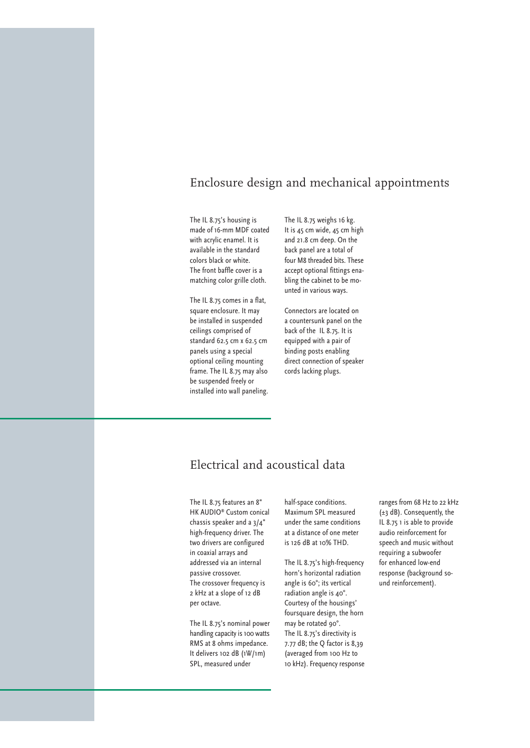### Enclosure design and mechanical appointments

The IL 8.75's housing is made of 16-mm MDF coated with acrylic enamel. It is available in the standard colors black or white. The front baffle cover is a matching color grille cloth.

The IL 8.75 comes in a flat, square enclosure. It may be installed in suspended ceilings comprised of standard 62.5 cm x 62.5 cm panels using a special optional ceiling mounting frame. The IL 8.75 may also be suspended freely or installed into wall paneling. The IL 8.75 weighs 16 kg. It is 45 cm wide, 45 cm high and 21.8 cm deep. On the back panel are a total of four M8 threaded bits. These accept optional fittings enabling the cabinet to be mounted in various ways.

Connectors are located on a countersunk panel on the back of the IL 8.75. It is equipped with a pair of binding posts enabling direct connection of speaker cords lacking plugs.

## Electrical and acoustical data

The IL 8.75 features an 8" HK AUDIO® Custom conical chassis speaker and a 3/4" high-frequency driver. The two drivers are configured in coaxial arrays and addressed via an internal passive crossover. The crossover frequency is 2 kHz at a slope of 12 dB per octave.

The IL 8.75's nominal power handling capacity is 100 watts RMS at 8 ohms impedance. It delivers 102 dB (1W/1m) SPL, measured under

half-space conditions. Maximum SPL measured under the same conditions at a distance of one meter is 126 dB at 10% THD.

The IL 8.75's high-frequency horn's horizontal radiation angle is 60°; its vertical radiation angle is 40°. Courtesy of the housings' foursquare design, the horn may be rotated 90°. The IL 8.75's directivity is 7.77 dB; the Q factor is 8,39 (averaged from 100 Hz to 10 kHz). Frequency response ranges from 68 Hz to 22 kHz (±3 dB). Consequently, the IL 8.75 1 is able to provide audio reinforcement for speech and music without requiring a subwoofer for enhanced low-end response (background sound reinforcement).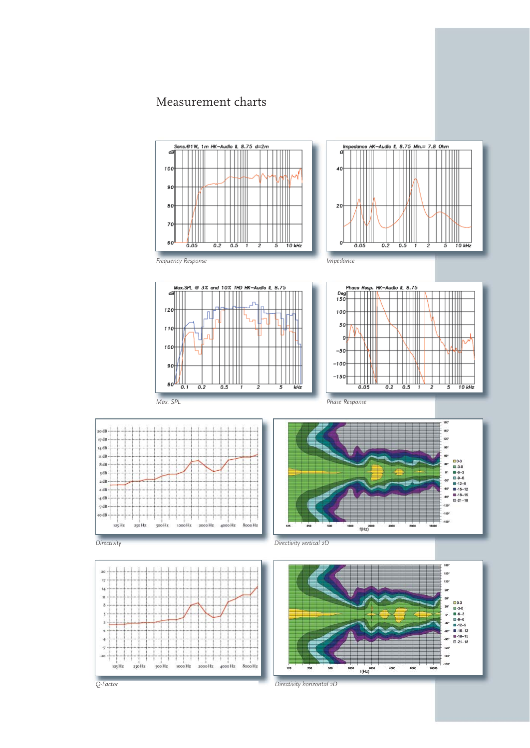## Measurement charts





an dR

 $r/$ dB

14 dB n dB

8 dB

5 dB

2 dB

 $4 dB$ 

 $4$  dB  $7 dB$ 

 $-10$  dB  $-$ 



*Q-Factor*

ė *Directivity horizontal 2D*

 $f(Hz)$ <sup>2000</sup>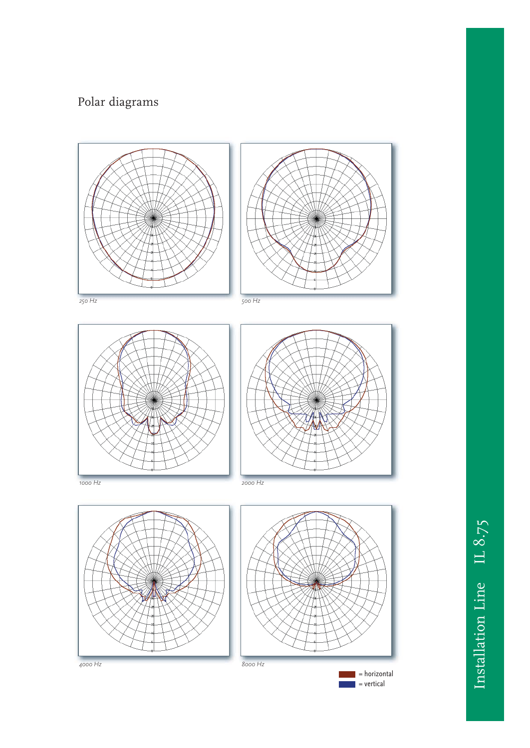## Polar diagrams





 $\,$  = horizontal  $=$  vertical

*4000 Hz 8000 Hz*